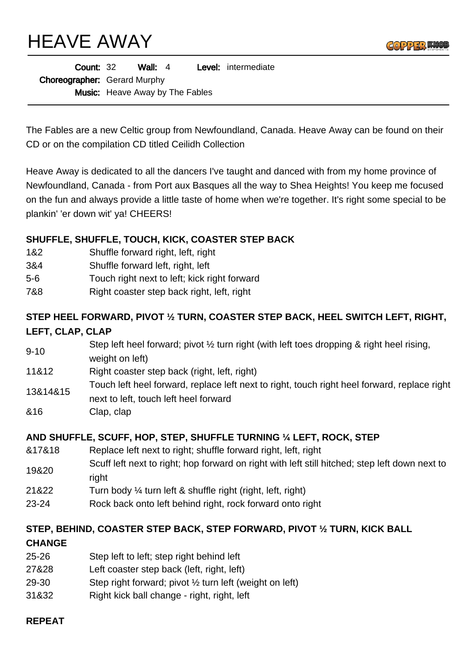HEAVE AWAY



| <b>Count: 32</b>                    |                                        | Wall: $4$ |  |  | <b>Level:</b> intermediate |
|-------------------------------------|----------------------------------------|-----------|--|--|----------------------------|
| <b>Choreographer:</b> Gerard Murphy |                                        |           |  |  |                            |
|                                     | <b>Music:</b> Heave Away by The Fables |           |  |  |                            |

The Fables are a new Celtic group from Newfoundland, Canada. Heave Away can be found on their CD or on the compilation CD titled Ceilidh Collection

Heave Away is dedicated to all the dancers I've taught and danced with from my home province of Newfoundland, Canada - from Port aux Basques all the way to Shea Heights! You keep me focused on the fun and always provide a little taste of home when we're together. It's right some special to be plankin' 'er down wit' ya! CHEERS!

### **SHUFFLE, SHUFFLE, TOUCH, KICK, COASTER STEP BACK**

- 1&2 Shuffle forward right, left, right
- 3&4 Shuffle forward left, right, left
- 5-6 Touch right next to left; kick right forward
- 7&8 Right coaster step back right, left, right

# **STEP HEEL FORWARD, PIVOT ½ TURN, COASTER STEP BACK, HEEL SWITCH LEFT, RIGHT, LEFT, CLAP, CLAP**

- 9-10 Step left heel forward; pivot ½ turn right (with left toes dropping & right heel rising, weight on left)
- 11&12 Right coaster step back (right, left, right)
- 13&14&15 Touch left heel forward, replace left next to right, touch right heel forward, replace right
- next to left, touch left heel forward
- &16 Clap, clap

#### **AND SHUFFLE, SCUFF, HOP, STEP, SHUFFLE TURNING ¼ LEFT, ROCK, STEP**

- &17&18 Replace left next to right; shuffle forward right, left, right
- 19&20 Scuff left next to right; hop forward on right with left still hitched; step left down next to right
- 21&22 Turn body ¼ turn left & shuffle right (right, left, right)
- 23-24 Rock back onto left behind right, rock forward onto right

## **STEP, BEHIND, COASTER STEP BACK, STEP FORWARD, PIVOT ½ TURN, KICK BALL**

#### **CHANGE**

- 25-26 Step left to left; step right behind left
- 27&28 Left coaster step back (left, right, left)
- 29-30 Step right forward; pivot ½ turn left (weight on left)
- 31&32 Right kick ball change right, right, left

# **REPEAT**